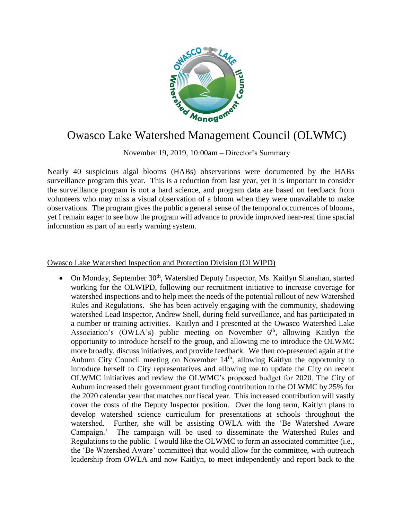

## Owasco Lake Watershed Management Council (OLWMC)

November 19, 2019, 10:00am – Director's Summary

Nearly 40 suspicious algal blooms (HABs) observations were documented by the HABs surveillance program this year. This is a reduction from last year, yet it is important to consider the surveillance program is not a hard science, and program data are based on feedback from volunteers who may miss a visual observation of a bloom when they were unavailable to make observations. The program gives the public a general sense of the temporal occurrences of blooms, yet I remain eager to see how the program will advance to provide improved near-real time spacial information as part of an early warning system.

## Owasco Lake Watershed Inspection and Protection Division (OLWIPD)

• On Monday, September 30<sup>th</sup>, Watershed Deputy Inspector, Ms. Kaitlyn Shanahan, started working for the OLWIPD, following our recruitment initiative to increase coverage for watershed inspections and to help meet the needs of the potential rollout of new Watershed Rules and Regulations. She has been actively engaging with the community, shadowing watershed Lead Inspector, Andrew Snell, during field surveillance, and has participated in a number or training activities. Kaitlyn and I presented at the Owasco Watershed Lake Association's (OWLA's) public meeting on November  $6<sup>th</sup>$ , allowing Kaitlyn the opportunity to introduce herself to the group, and allowing me to introduce the OLWMC more broadly, discuss initiatives, and provide feedback. We then co-presented again at the Auburn City Council meeting on November  $14<sup>th</sup>$ , allowing Kaitlyn the opportunity to introduce herself to City representatives and allowing me to update the City on recent OLWMC initiatives and review the OLWMC's proposed budget for 2020. The City of Auburn increased their government grant funding contribution to the OLWMC by 25% for the 2020 calendar year that matches our fiscal year. This increased contribution will vastly cover the costs of the Deputy Inspector position. Over the long term, Kaitlyn plans to develop watershed science curriculum for presentations at schools throughout the watershed. Further, she will be assisting OWLA with the 'Be Watershed Aware Campaign.' The campaign will be used to disseminate the Watershed Rules and Regulations to the public. I would like the OLWMC to form an associated committee (i.e., the 'Be Watershed Aware' committee) that would allow for the committee, with outreach leadership from OWLA and now Kaitlyn, to meet independently and report back to the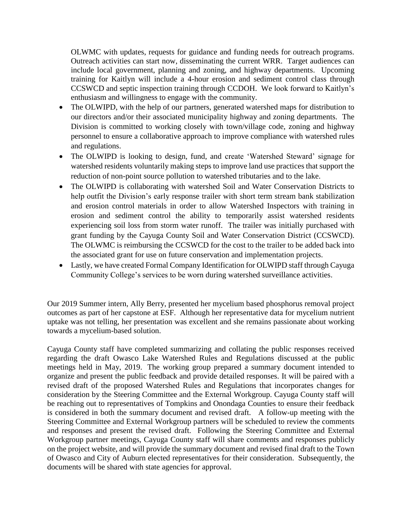OLWMC with updates, requests for guidance and funding needs for outreach programs. Outreach activities can start now, disseminating the current WRR. Target audiences can include local government, planning and zoning, and highway departments. Upcoming training for Kaitlyn will include a 4-hour erosion and sediment control class through CCSWCD and septic inspection training through CCDOH. We look forward to Kaitlyn's enthusiasm and willingness to engage with the community.

- The OLWIPD, with the help of our partners, generated watershed maps for distribution to our directors and/or their associated municipality highway and zoning departments. The Division is committed to working closely with town/village code, zoning and highway personnel to ensure a collaborative approach to improve compliance with watershed rules and regulations.
- The OLWIPD is looking to design, fund, and create 'Watershed Steward' signage for watershed residents voluntarily making steps to improve land use practices that support the reduction of non-point source pollution to watershed tributaries and to the lake.
- The OLWIPD is collaborating with watershed Soil and Water Conservation Districts to help outfit the Division's early response trailer with short term stream bank stabilization and erosion control materials in order to allow Watershed Inspectors with training in erosion and sediment control the ability to temporarily assist watershed residents experiencing soil loss from storm water runoff. The trailer was initially purchased with grant funding by the Cayuga County Soil and Water Conservation District (CCSWCD). The OLWMC is reimbursing the CCSWCD for the cost to the trailer to be added back into the associated grant for use on future conservation and implementation projects.
- Lastly, we have created Formal Company Identification for OLWIPD staff through Cayuga Community College's services to be worn during watershed surveillance activities.

Our 2019 Summer intern, Ally Berry, presented her mycelium based phosphorus removal project outcomes as part of her capstone at ESF. Although her representative data for mycelium nutrient uptake was not telling, her presentation was excellent and she remains passionate about working towards a mycelium-based solution.

Cayuga County staff have completed summarizing and collating the public responses received regarding the draft Owasco Lake Watershed Rules and Regulations discussed at the public meetings held in May, 2019. The working group prepared a summary document intended to organize and present the public feedback and provide detailed responses. It will be paired with a revised draft of the proposed Watershed Rules and Regulations that incorporates changes for consideration by the Steering Committee and the External Workgroup. Cayuga County staff will be reaching out to representatives of Tompkins and Onondaga Counties to ensure their feedback is considered in both the summary document and revised draft. A follow-up meeting with the Steering Committee and External Workgroup partners will be scheduled to review the comments and responses and present the revised draft. Following the Steering Committee and External Workgroup partner meetings, Cayuga County staff will share comments and responses publicly on the project website, and will provide the summary document and revised final draft to the Town of Owasco and City of Auburn elected representatives for their consideration. Subsequently, the documents will be shared with state agencies for approval.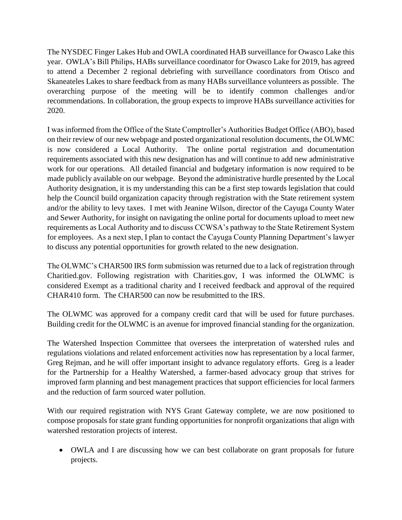The NYSDEC Finger Lakes Hub and OWLA coordinated HAB surveillance for Owasco Lake this year. OWLA's Bill Philips, HABs surveillance coordinator for Owasco Lake for 2019, has agreed to attend a December 2 regional debriefing with surveillance coordinators from Otisco and Skaneateles Lakes to share feedback from as many HABs surveillance volunteers as possible. The overarching purpose of the meeting will be to identify common challenges and/or recommendations. In collaboration, the group expects to improve HABs surveillance activities for 2020.

I was informed from the Office of the State Comptroller's Authorities Budget Office (ABO), based on their review of our new webpage and posted organizational resolution documents, the OLWMC is now considered a Local Authority. The online portal registration and documentation requirements associated with this new designation has and will continue to add new administrative work for our operations. All detailed financial and budgetary information is now required to be made publicly available on our webpage. Beyond the administrative hurdle presented by the Local Authority designation, it is my understanding this can be a first step towards legislation that could help the Council build organization capacity through registration with the State retirement system and/or the ability to levy taxes. I met with Jeanine Wilson, director of the Cayuga County Water and Sewer Authority, for insight on navigating the online portal for documents upload to meet new requirements as Local Authority and to discuss CCWSA's pathway to the State Retirement System for employees. As a next step, I plan to contact the Cayuga County Planning Department's lawyer to discuss any potential opportunities for growth related to the new designation.

The OLWMC's CHAR500 IRS form submission was returned due to a lack of registration through Charitied.gov. Following registration with Charities.gov, I was informed the OLWMC is considered Exempt as a traditional charity and I received feedback and approval of the required CHAR410 form. The CHAR500 can now be resubmitted to the IRS.

The OLWMC was approved for a company credit card that will be used for future purchases. Building credit for the OLWMC is an avenue for improved financial standing for the organization.

The Watershed Inspection Committee that oversees the interpretation of watershed rules and regulations violations and related enforcement activities now has representation by a local farmer, Greg Rejman, and he will offer important insight to advance regulatory efforts. Greg is a leader for the Partnership for a Healthy Watershed, a farmer-based advocacy group that strives for improved farm planning and best management practices that support efficiencies for local farmers and the reduction of farm sourced water pollution.

With our required registration with NYS Grant Gateway complete, we are now positioned to compose proposals for state grant funding opportunities for nonprofit organizations that align with watershed restoration projects of interest.

• OWLA and I are discussing how we can best collaborate on grant proposals for future projects.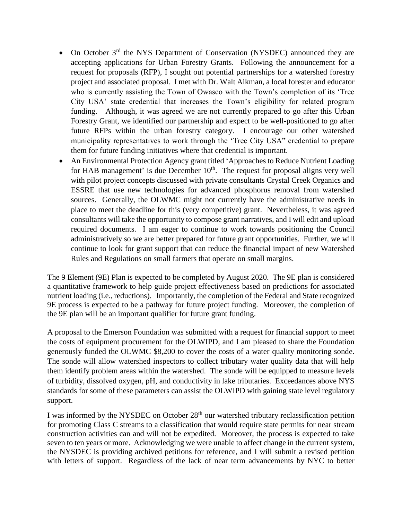- On October 3rd the NYS Department of Conservation (NYSDEC) announced they are accepting applications for Urban Forestry Grants. Following the announcement for a request for proposals (RFP), I sought out potential partnerships for a watershed forestry project and associated proposal. I met with Dr. Walt Aikman, a local forester and educator who is currently assisting the Town of Owasco with the Town's completion of its 'Tree City USA' state credential that increases the Town's eligibility for related program funding. Although, it was agreed we are not currently prepared to go after this Urban Forestry Grant, we identified our partnership and expect to be well-positioned to go after future RFPs within the urban forestry category. I encourage our other watershed municipality representatives to work through the 'Tree City USA" credential to prepare them for future funding initiatives where that credential is important.
- An Environmental Protection Agency grant titled 'Approaches to Reduce Nutrient Loading for HAB management' is due December  $10<sup>th</sup>$ . The request for proposal aligns very well with pilot project concepts discussed with private consultants Crystal Creek Organics and ESSRE that use new technologies for advanced phosphorus removal from watershed sources. Generally, the OLWMC might not currently have the administrative needs in place to meet the deadline for this (very competitive) grant. Nevertheless, it was agreed consultants will take the opportunity to compose grant narratives, and I will edit and upload required documents. I am eager to continue to work towards positioning the Council administratively so we are better prepared for future grant opportunities. Further, we will continue to look for grant support that can reduce the financial impact of new Watershed Rules and Regulations on small farmers that operate on small margins.

The 9 Element (9E) Plan is expected to be completed by August 2020. The 9E plan is considered a quantitative framework to help guide project effectiveness based on predictions for associated nutrient loading (i.e., reductions). Importantly, the completion of the Federal and State recognized 9E process is expected to be a pathway for future project funding. Moreover, the completion of the 9E plan will be an important qualifier for future grant funding.

A proposal to the Emerson Foundation was submitted with a request for financial support to meet the costs of equipment procurement for the OLWIPD, and I am pleased to share the Foundation generously funded the OLWMC \$8,200 to cover the costs of a water quality monitoring sonde. The sonde will allow watershed inspectors to collect tributary water quality data that will help them identify problem areas within the watershed. The sonde will be equipped to measure levels of turbidity, dissolved oxygen, pH, and conductivity in lake tributaries. Exceedances above NYS standards for some of these parameters can assist the OLWIPD with gaining state level regulatory support.

I was informed by the NYSDEC on October 28<sup>th</sup> our watershed tributary reclassification petition for promoting Class C streams to a classification that would require state permits for near stream construction activities can and will not be expedited. Moreover, the process is expected to take seven to ten years or more. Acknowledging we were unable to affect change in the current system, the NYSDEC is providing archived petitions for reference, and I will submit a revised petition with letters of support. Regardless of the lack of near term advancements by NYC to better